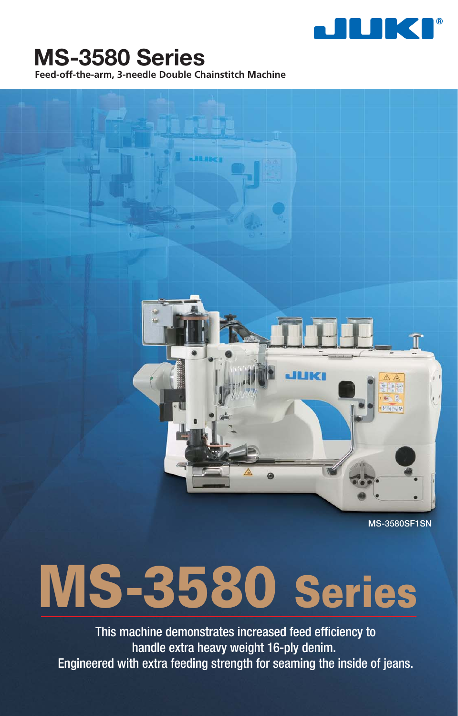

# **MS-3580 Series**

**Feed-off-the-arm, 3-needle Double Chainstitch Machine**



**MS-3580SF1SN**

# **MS-3580 Series**

This machine demonstrates increased feed efficiency to handle extra heavy weight 16-ply denim. Engineered with extra feeding strength for seaming the inside of jeans.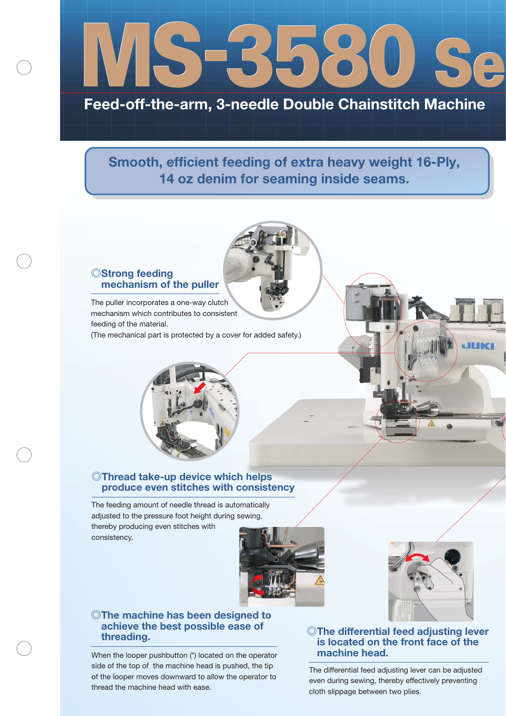

# **Feed-off-the-arm, 3-needle Double Chainstitch Machine**

**Smooth, efficient feeding of extra heavy weight 16-Ply, 14 oz denim for seaming inside seams.**

#### **◎Strong feeding mechanism of the puller**

The puller incorporates a one-way clutch mechanism which contributes to consistent feeding of the material. (The mechanical part is protected by a cover for added safety.)

ent<br>
wer for adde<br>
and the performance of the performance of the performance of the performance<br>
in consist<br>
internatically<br>
in g sewing,

#### **◎Thread take-up device which helps ch produce even stitches with consistency**

The feeding amount of needle thread is automatically adjusted to the pressure foot height during sewing, thereby producing even stitches with

consistency.





# **◎The machine has been designed to achieve the best possible ease of**

When the looper pushbutton (\*) located on the operator side of the top of the machine head is pushed, the tip of the looper moves downward to allow the operator to thread the machine head with ease.

**threading. ◎The differential feed adjusting lever is located on the front face of the machine head.**

> The differential feed adjusting lever can be adjusted even during sewing, thereby effectively preventing cloth slippage between two plies.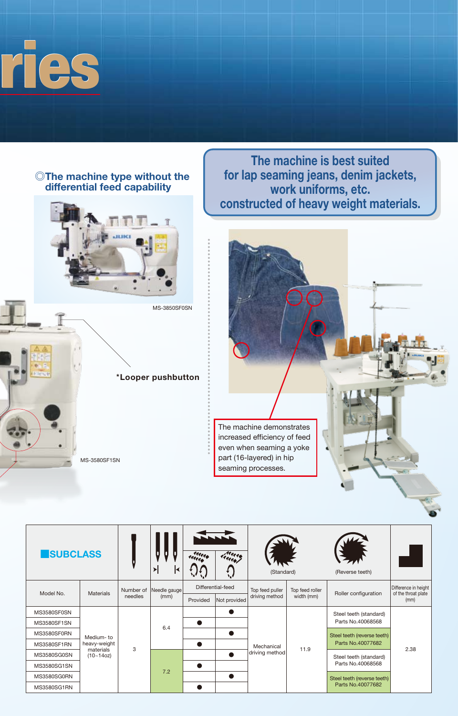

### **◎The machine type without the differential feed capability**



MS-3850SF0SN

**\*Looper pushbutton**

**for lap seaming jeans, denim jackets, work uniforms, etc. constructed of heavy weight materials.**

**The machine is best suited**



| <b>SUBCLASS</b>    |                                                         |                      | 게<br>к               | una               | truck        | (Standard)                   |                 | (Reverse teeth)                                  |                                             |
|--------------------|---------------------------------------------------------|----------------------|----------------------|-------------------|--------------|------------------------------|-----------------|--------------------------------------------------|---------------------------------------------|
| Model No.          | <b>Materials</b>                                        | Number of<br>needles | Needle gauge<br>(mm) | Differential-feed |              | Top feed puller              | Top feed roller | Roller configuration                             | Difference in height<br>of the throat plate |
|                    |                                                         |                      |                      | Provided          | Not provided | driving method               | width (mm)      |                                                  | (mm)                                        |
| MS3580SF0SN        | Medium-to<br>heavy-weight<br>materials<br>$(10 - 14oz)$ | 3                    | 6.4                  |                   |              | Mechanical<br>driving method | 11.9            | Steel teeth (standard)                           | 2.38                                        |
| MS3580SF1SN        |                                                         |                      |                      |                   |              |                              |                 | Parts No.40068568                                |                                             |
| MS3580SF0RN        |                                                         |                      |                      |                   |              |                              |                 | Steel teeth (reverse teeth)<br>Parts No.40077682 |                                             |
| <b>MS3580SF1RN</b> |                                                         |                      |                      |                   |              |                              |                 |                                                  |                                             |
| MS3580SG0SN        |                                                         |                      | 7.2                  |                   |              |                              |                 | Steel teeth (standard)<br>Parts No.40068568      |                                             |
| MS3580SG1SN        |                                                         |                      |                      |                   |              |                              |                 |                                                  |                                             |
| MS3580SG0RN        |                                                         |                      |                      |                   |              |                              |                 | Steel teeth (reverse teeth)                      |                                             |
| MS3580SG1RN        |                                                         |                      |                      |                   |              |                              |                 | Parts No.40077682                                |                                             |

MS-3580SF1SN